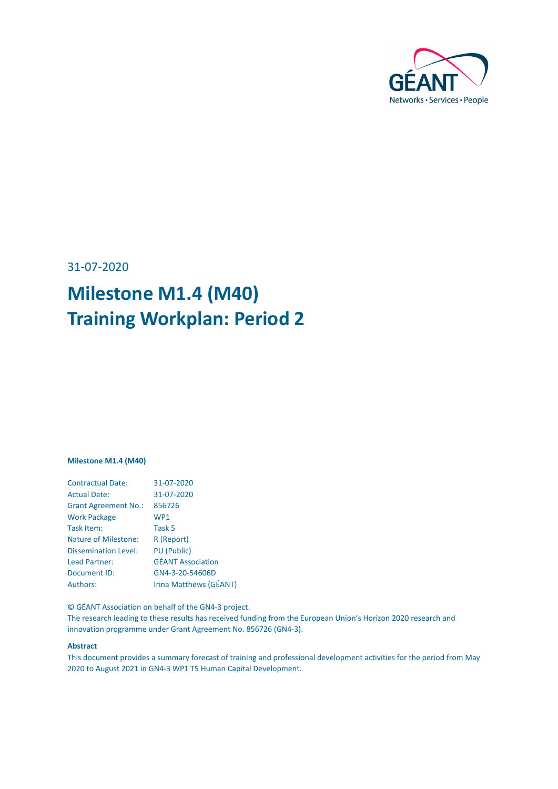

31-07-2020

# **Milestone M1.4 (M40) Training Workplan: Period 2**

#### **Milestone M1.4 (M40)**

| <b>Contractual Date:</b>    | 31-07-2020               |
|-----------------------------|--------------------------|
| <b>Actual Date:</b>         | 31-07-2020               |
| <b>Grant Agreement No.:</b> | 856726                   |
| <b>Work Package</b>         | WP <sub>1</sub>          |
| Task Item:                  | Task 5                   |
| <b>Nature of Milestone:</b> | R (Report)               |
| <b>Dissemination Level:</b> | <b>PU</b> (Public)       |
| Lead Partner:               | <b>GÉANT Association</b> |
| Document ID:                | GN4-3-20-54606D          |
| Authors:                    | Irina Matthews (GÉANT)   |

© GÉANT Association on behalf of the GN4-3 project.

The research leading to these results has received funding from the European Union's Horizon 2020 research and innovation programme under Grant Agreement No. 856726 (GN4-3).

#### **Abstract**

This document provides a summary forecast of training and professional development activities for the period from May 2020 to August 2021 in GN4-3 WP1 T5 Human Capital Development.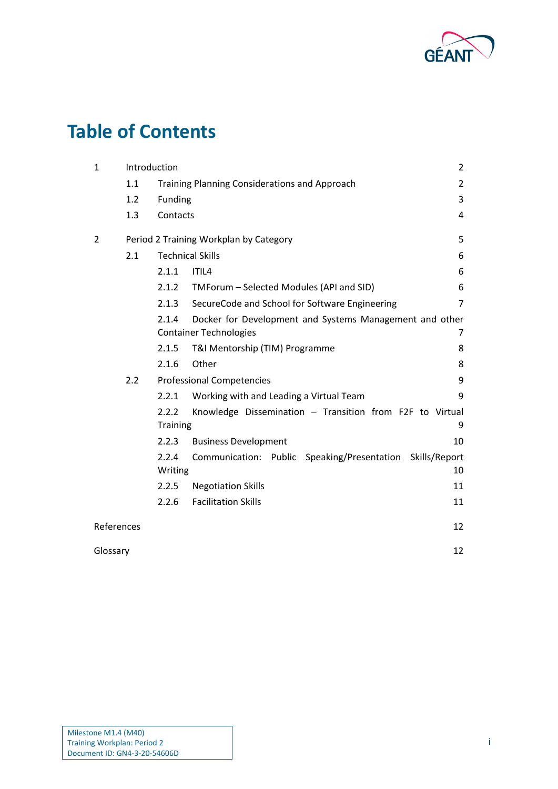

# **Table of Contents**

| $\mathbf{1}$                            | Introduction |                          |                                                              |                |
|-----------------------------------------|--------------|--------------------------|--------------------------------------------------------------|----------------|
|                                         | 1.1          |                          | Training Planning Considerations and Approach                | $\overline{2}$ |
|                                         | 1.2          | Funding                  |                                                              | 3              |
|                                         | 1.3          | Contacts                 |                                                              | 4              |
| 2                                       |              |                          | Period 2 Training Workplan by Category                       | 5              |
| <b>Technical Skills</b><br>2.1          |              |                          |                                                              | 6              |
|                                         |              | 2.1.1                    | ITIL4                                                        | 6              |
|                                         |              | 2.1.2                    | TMForum - Selected Modules (API and SID)                     | 6              |
|                                         |              | 2.1.3                    | SecureCode and School for Software Engineering               | $\overline{7}$ |
|                                         |              | 2.1.4                    | Docker for Development and Systems Management and other      |                |
| <b>Container Technologies</b>           |              |                          | 7                                                            |                |
|                                         |              | 2.1.5                    | T&I Mentorship (TIM) Programme                               | 8              |
|                                         |              | 2.1.6                    | Other                                                        | 8              |
| 2.2<br><b>Professional Competencies</b> |              |                          |                                                              | 9              |
|                                         |              | 2.2.1                    | Working with and Leading a Virtual Team                      | 9              |
|                                         |              | 2.2.2<br><b>Training</b> | Knowledge Dissemination - Transition from F2F to Virtual     | 9              |
|                                         |              | 2.2.3                    | <b>Business Development</b>                                  | 10             |
|                                         |              | 2.2.4                    | Communication: Public Speaking/Presentation<br>Skills/Report |                |
|                                         |              | Writing                  |                                                              | 10             |
|                                         |              | 2.2.5                    | <b>Negotiation Skills</b>                                    | 11             |
|                                         |              | 2.2.6                    | <b>Facilitation Skills</b>                                   | 11             |
| References                              |              |                          |                                                              | 12             |
| Glossary                                |              |                          |                                                              | 12             |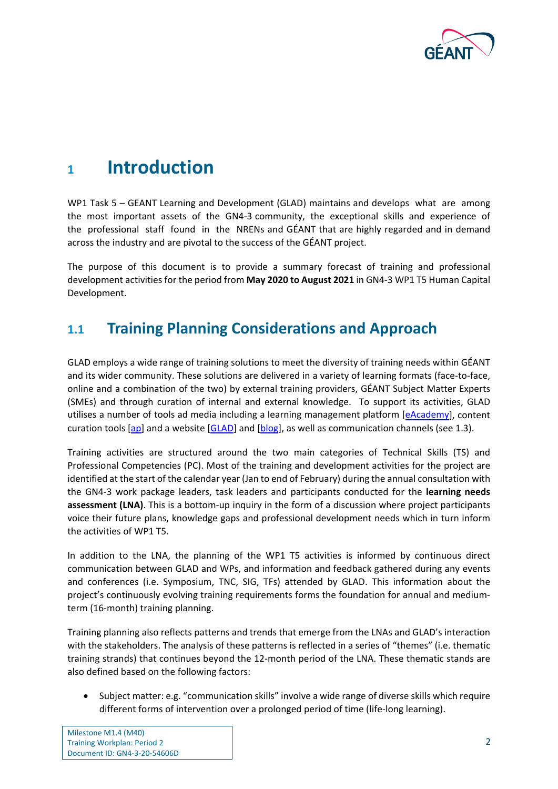

## <span id="page-2-0"></span>**<sup>1</sup> Introduction**

WP1 Task 5 – GEANT Learning and Development (GLAD) maintains and develops what are among the most important assets of the GN4-3 community, the exceptional skills and experience of the professional staff found in the NRENs and GÉANT that are highly regarded and in demand across the industry and are pivotal to the success of the GÉANT project.

The purpose of this document is to provide a summary forecast of training and professional development activities for the period from **May 2020 to August 2021** in GN4-3 WP1 T5 Human Capital Development.

## <span id="page-2-1"></span>**1.1 Training Planning Considerations and Approach**

GLAD employs a wide range of training solutions to meet the diversity of training needs within GÉANT and its wider community. These solutions are delivered in a variety of learning formats (face-to-face, online and a combination of the two) by external training providers, GÉANT Subject Matter Experts (SMEs) and through curation of internal and external knowledge. To support its activities, GLAD utilises a number of tools ad media including a learning management platform [\[eAcademy\]](#page-12-2), content curation tools [\[ap\]](#page-12-3) and a website [\[GLAD\]](#page-12-4) and [\[blog\]](#page-12-5), as well as communication channels (see [1.3\)](#page-4-0).

Training activities are structured around the two main categories of Technical Skills (TS) and Professional Competencies (PC). Most of the training and development activities for the project are identified at the start of the calendar year (Jan to end of February) during the annual consultation with the GN4-3 work package leaders, task leaders and participants conducted for the **learning needs assessment (LNA)**. This is a bottom-up inquiry in the form of a discussion where project participants voice their future plans, knowledge gaps and professional development needs which in turn inform the activities of WP1 T5.

In addition to the LNA, the planning of the WP1 T5 activities is informed by continuous direct communication between GLAD and WPs, and information and feedback gathered during any events and conferences (i.e. Symposium, TNC, SIG, TFs) attended by GLAD. This information about the project's continuously evolving training requirements forms the foundation for annual and mediumterm (16-month) training planning.

Training planning also reflects patterns and trends that emerge from the LNAs and GLAD's interaction with the stakeholders. The analysis of these patterns is reflected in a series of "themes" (i.e. thematic training strands) that continues beyond the 12-month period of the LNA. These thematic stands are also defined based on the following factors:

• Subject matter: e.g. "communication skills" involve a wide range of diverse skills which require different forms of intervention over a prolonged period of time (life-long learning).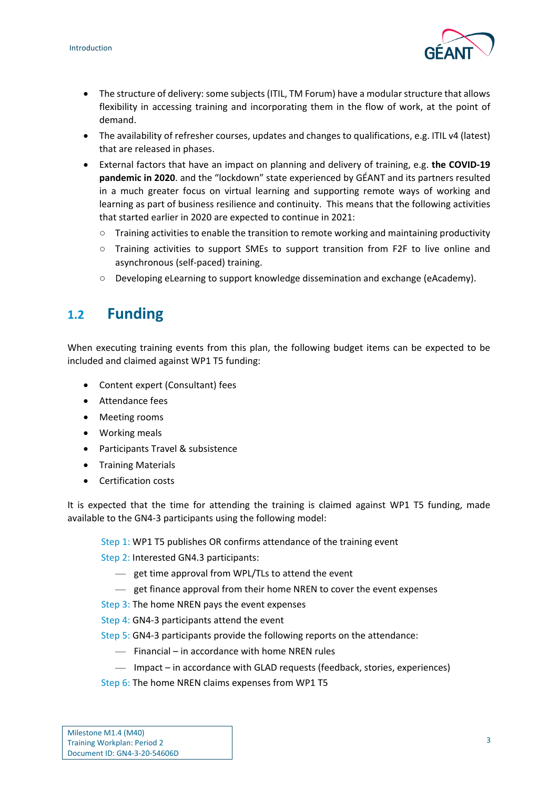

- The structure of delivery: some subjects (ITIL, TM Forum) have a modular structure that allows flexibility in accessing training and incorporating them in the flow of work, at the point of demand.
- The availability of refresher courses, updates and changes to qualifications, e.g. ITIL v4 (latest) that are released in phases.
- External factors that have an impact on planning and delivery of training, e.g. **the COVID-19 pandemic in 2020**. and the "lockdown" state experienced by GÉANT and its partners resulted in a much greater focus on virtual learning and supporting remote ways of working and learning as part of business resilience and continuity. This means that the following activities that started earlier in 2020 are expected to continue in 2021:
	- Training activities to enable the transition to remote working and maintaining productivity
	- Training activities to support SMEs to support transition from F2F to live online and asynchronous (self-paced) training.
	- Developing eLearning to support knowledge dissemination and exchange (eAcademy).

## <span id="page-3-0"></span>**1.2 Funding**

When executing training events from this plan, the following budget items can be expected to be included and claimed against WP1 T5 funding:

- Content expert (Consultant) fees
- Attendance fees
- Meeting rooms
- Working meals
- Participants Travel & subsistence
- Training Materials
- Certification costs

It is expected that the time for attending the training is claimed against WP1 T5 funding, made available to the GN4-3 participants using the following model:

- Step 1: WP1 T5 publishes OR confirms attendance of the training event
- Step 2: Interested GN4.3 participants:
	- get time approval from WPL/TLs to attend the event
	- get finance approval from their home NREN to cover the event expenses
- Step 3: The home NREN pays the event expenses
- Step 4: GN4-3 participants attend the event
- Step 5: GN4-3 participants provide the following reports on the attendance:
	- Financial in accordance with home NREN rules
	- Impact in accordance with GLAD requests (feedback, stories, experiences)
- Step 6: The home NREN claims expenses from WP1 T5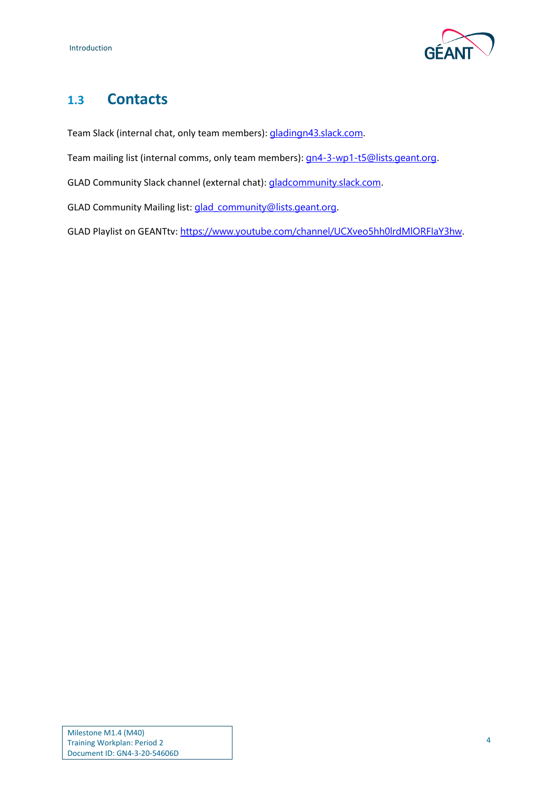

## <span id="page-4-0"></span>**1.3 Contacts**

Team Slack (internal chat, only team members): [gladingn43.slack.com](http://gladingn43.slack.com/).

Team mailing list (internal comms, only team members): [gn4-3-wp1-t5@lists.geant.org](mailto:gn4-3-wp1-t5@lists.geant.org).

GLAD Community Slack channel (external chat): [gladcommunity.slack.com](http://gladcommunity.slack.com/).

GLAD Community Mailing list: [glad\\_community@lists.geant.org](mailto:glad_community@lists.geant.org).

GLAD Playlist on GEANTtv: <https://www.youtube.com/channel/UCXveo5hh0lrdMlORFIaY3hw>.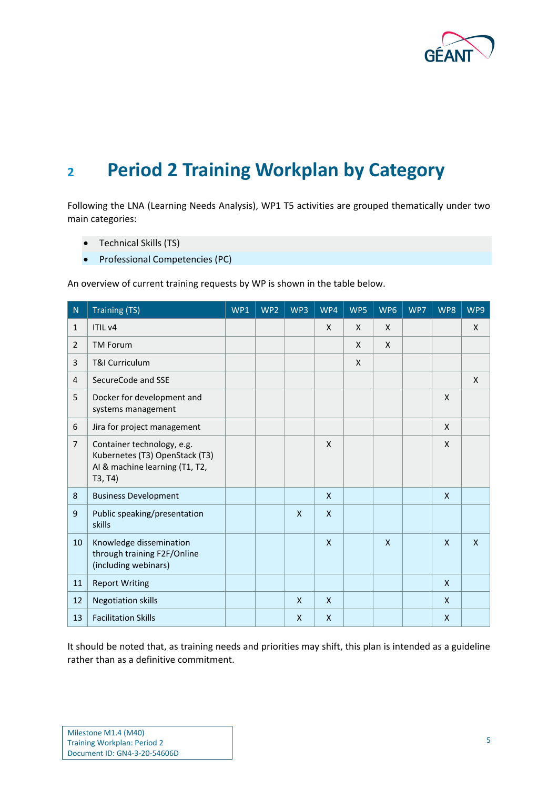

# <span id="page-5-0"></span>**<sup>2</sup> Period 2 Training Workplan by Category**

Following the LNA (Learning Needs Analysis), WP1 T5 activities are grouped thematically under two main categories:

- Technical Skills (TS)
- Professional Competencies (PC)

An overview of current training requests by WP is shown in the table below.

| ${\sf N}$      | <b>Training (TS)</b>                                                                                      | WP1 | WP <sub>2</sub> | WP3          | WP4          | WP5          | WP6          | WP7 | WP8          | WP9 |
|----------------|-----------------------------------------------------------------------------------------------------------|-----|-----------------|--------------|--------------|--------------|--------------|-----|--------------|-----|
| $\mathbf{1}$   | ITIL <sub>v4</sub>                                                                                        |     |                 |              | X            | X            | $\mathsf{X}$ |     |              | X   |
| $\overline{2}$ | <b>TM Forum</b>                                                                                           |     |                 |              |              | X            | $\mathsf{X}$ |     |              |     |
| 3              | <b>T&amp;I Curriculum</b>                                                                                 |     |                 |              |              | $\mathsf{x}$ |              |     |              |     |
| 4              | SecureCode and SSE                                                                                        |     |                 |              |              |              |              |     |              | X   |
| 5              | Docker for development and<br>systems management                                                          |     |                 |              |              |              |              |     | X            |     |
| 6              | Jira for project management                                                                               |     |                 |              |              |              |              |     | X            |     |
| $\overline{7}$ | Container technology, e.g.<br>Kubernetes (T3) OpenStack (T3)<br>AI & machine learning (T1, T2,<br>T3, T4) |     |                 |              | X            |              |              |     | X            |     |
| 8              | <b>Business Development</b>                                                                               |     |                 |              | $\mathsf{x}$ |              |              |     | $\mathsf{x}$ |     |
| 9              | Public speaking/presentation<br>skills                                                                    |     |                 | $\mathsf{x}$ | $\mathsf{x}$ |              |              |     |              |     |
| 10             | Knowledge dissemination<br>through training F2F/Online<br>(including webinars)                            |     |                 |              | X            |              | $\mathsf{X}$ |     | $\mathsf{X}$ | X   |
| 11             | <b>Report Writing</b>                                                                                     |     |                 |              |              |              |              |     | $\mathsf{X}$ |     |
| 12             | <b>Negotiation skills</b>                                                                                 |     |                 | $\mathsf{X}$ | $\mathsf{x}$ |              |              |     | $\mathsf{X}$ |     |
| 13             | <b>Facilitation Skills</b>                                                                                |     |                 | $\mathsf{x}$ | $\mathsf{x}$ |              |              |     | $\mathsf{x}$ |     |

It should be noted that, as training needs and priorities may shift, this plan is intended as a guideline rather than as a definitive commitment.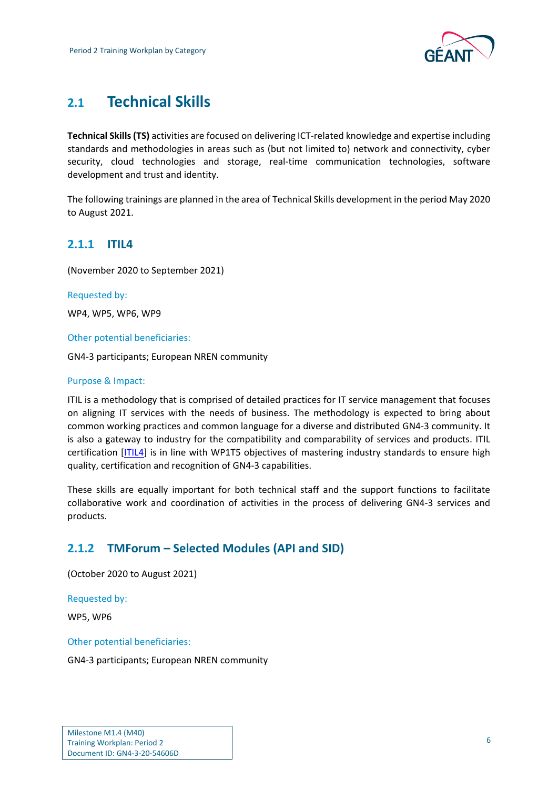

## <span id="page-6-0"></span>**2.1 Technical Skills**

**Technical Skills(TS)** activities are focused on delivering ICT-related knowledge and expertise including standards and methodologies in areas such as (but not limited to) network and connectivity, cyber security, cloud technologies and storage, real-time communication technologies, software development and trust and identity.

The following trainings are planned in the area of Technical Skills development in the period May 2020 to August 2021.

### <span id="page-6-1"></span>**2.1.1 ITIL4**

(November 2020 to September 2021)

Requested by:

WP4, WP5, WP6, WP9

Other potential beneficiaries:

GN4-3 participants; European NREN community

#### Purpose & Impact:

ITIL is a methodology that is comprised of detailed practices for IT service management that focuses on aligning IT services with the needs of business. The methodology is expected to bring about common working practices and common language for a diverse and distributed GN4-3 community. It is also a gateway to industry for the compatibility and comparability of services and products. ITIL certification [\[ITIL4\]](#page-12-6) is in line with WP1T5 objectives of mastering industry standards to ensure high quality, certification and recognition of GN4-3 capabilities.

These skills are equally important for both technical staff and the support functions to facilitate collaborative work and coordination of activities in the process of delivering GN4-3 services and products.

### <span id="page-6-2"></span>**2.1.2 TMForum – Selected Modules (API and SID)**

(October 2020 to August 2021)

Requested by:

WP5, WP6

Other potential beneficiaries:

GN4-3 participants; European NREN community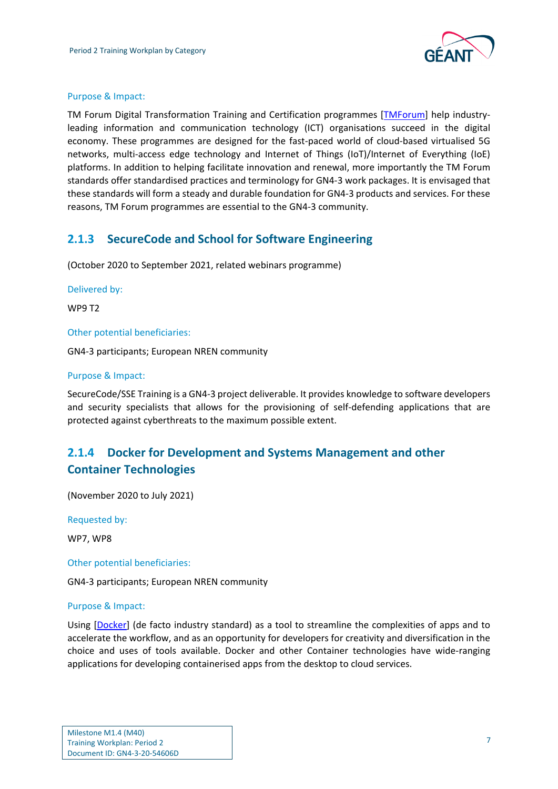

#### Purpose & Impact:

TM Forum Digital Transformation Training and Certification programmes [\[TMForum\]](#page-12-7) help industryleading information and communication technology (ICT) organisations succeed in the digital economy. These programmes are designed for the fast-paced world of cloud-based virtualised 5G networks, multi-access edge technology and Internet of Things (IoT)/Internet of Everything (IoE) platforms. In addition to helping facilitate innovation and renewal, more importantly the TM Forum standards offer standardised practices and terminology for GN4-3 work packages. It is envisaged that these standards will form a steady and durable foundation for GN4-3 products and services. For these reasons, TM Forum programmes are essential to the GN4-3 community.

### <span id="page-7-0"></span>**2.1.3 SecureCode and School for Software Engineering**

(October 2020 to September 2021, related webinars programme)

#### Delivered by:

WP9 T2

Other potential beneficiaries:

GN4-3 participants; European NREN community

#### Purpose & Impact:

SecureCode/SSE Training is a GN4-3 project deliverable. It provides knowledge to software developers and security specialists that allows for the provisioning of self-defending applications that are protected against cyberthreats to the maximum possible extent.

## <span id="page-7-1"></span>**2.1.4 Docker for Development and Systems Management and other Container Technologies**

(November 2020 to July 2021)

Requested by:

WP7, WP8

Other potential beneficiaries:

GN4-3 participants; European NREN community

#### Purpose & Impact:

Using [\[Docker\]](#page-12-8) (de facto industry standard) as a tool to streamline the complexities of apps and to accelerate the workflow, and as an opportunity for developers for creativity and diversification in the choice and uses of tools available. Docker and other Container technologies have wide-ranging applications for developing containerised apps from the desktop to cloud services.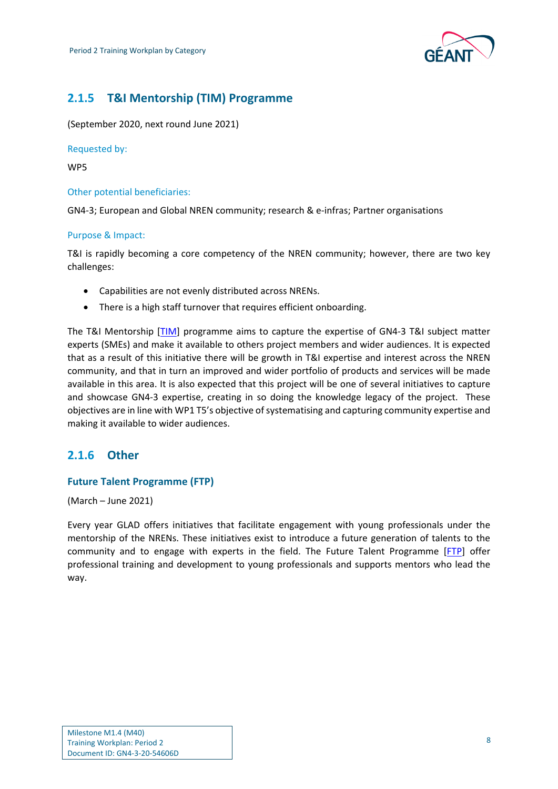

## <span id="page-8-0"></span>**2.1.5 T&I Mentorship (TIM) Programme**

(September 2020, next round June 2021)

Requested by:

WP5

#### Other potential beneficiaries:

GN4-3; European and Global NREN community; research & e-infras; Partner organisations

#### Purpose & Impact:

T&I is rapidly becoming a core competency of the NREN community; however, there are two key challenges:

- Capabilities are not evenly distributed across NRENs.
- There is a high staff turnover that requires efficient onboarding.

The T&I Mentorship [\[TIM\]](#page-12-9) programme aims to capture the expertise of GN4-3 T&I subject matter experts (SMEs) and make it available to others project members and wider audiences. It is expected that as a result of this initiative there will be growth in T&I expertise and interest across the NREN community, and that in turn an improved and wider portfolio of products and services will be made available in this area. It is also expected that this project will be one of several initiatives to capture and showcase GN4-3 expertise, creating in so doing the knowledge legacy of the project. These objectives are in line with WP1 T5's objective of systematising and capturing community expertise and making it available to wider audiences.

### <span id="page-8-1"></span>**2.1.6 Other**

#### **Future Talent Programme (FTP)**

(March – June 2021)

Every year GLAD offers initiatives that facilitate engagement with young professionals under the mentorship of the NRENs. These initiatives exist to introduce a future generation of talents to the community and to engage with experts in the field. The Future Talent Programme [\[FTP\]](#page-12-10) offer professional training and development to young professionals and supports mentors who lead the way.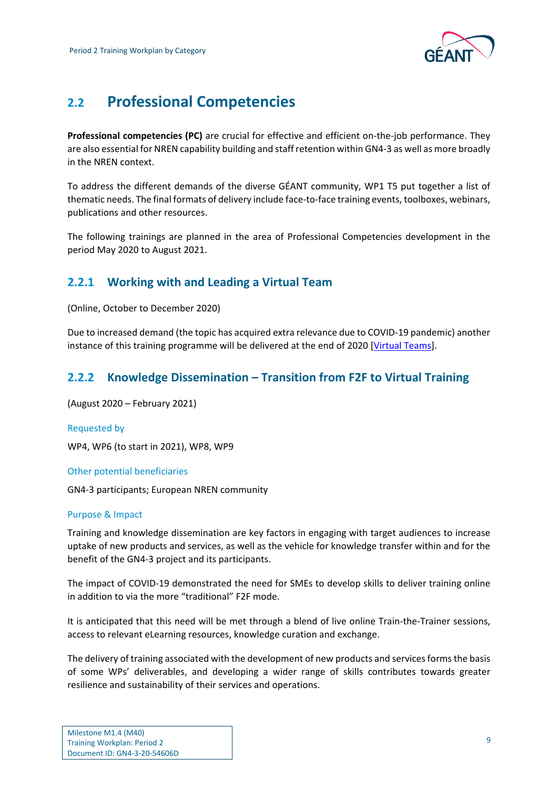

## <span id="page-9-0"></span>**2.2 Professional Competencies**

**Professional competencies (PC)** are crucial for effective and efficient on-the-job performance. They are also essential for NREN capability building and staff retention within GN4-3 as well as more broadly in the NREN context.

To address the different demands of the diverse GÉANT community, WP1 T5 put together a list of thematic needs. The final formats of delivery include face-to-face training events, toolboxes, webinars, publications and other resources.

The following trainings are planned in the area of Professional Competencies development in the period May 2020 to August 2021.

## <span id="page-9-1"></span>**2.2.1 Working with and Leading a Virtual Team**

(Online, October to December 2020)

Due to increased demand (the topic has acquired extra relevance due to COVID-19 pandemic) another instance of this training programme will be delivered at the end of 2020 [\[Virtual Teams\]](#page-12-11).

### <span id="page-9-2"></span>**2.2.2 Knowledge Dissemination – Transition from F2F to Virtual Training**

(August 2020 – February 2021)

Requested by

WP4, WP6 (to start in 2021), WP8, WP9

Other potential beneficiaries

GN4-3 participants; European NREN community

#### Purpose & Impact

Training and knowledge dissemination are key factors in engaging with target audiences to increase uptake of new products and services, as well as the vehicle for knowledge transfer within and for the benefit of the GN4-3 project and its participants.

The impact of COVID-19 demonstrated the need for SMEs to develop skills to deliver training online in addition to via the more "traditional" F2F mode.

It is anticipated that this need will be met through a blend of live online Train-the-Trainer sessions, access to relevant eLearning resources, knowledge curation and exchange.

The delivery of training associated with the development of new products and services forms the basis of some WPs' deliverables, and developing a wider range of skills contributes towards greater resilience and sustainability of their services and operations.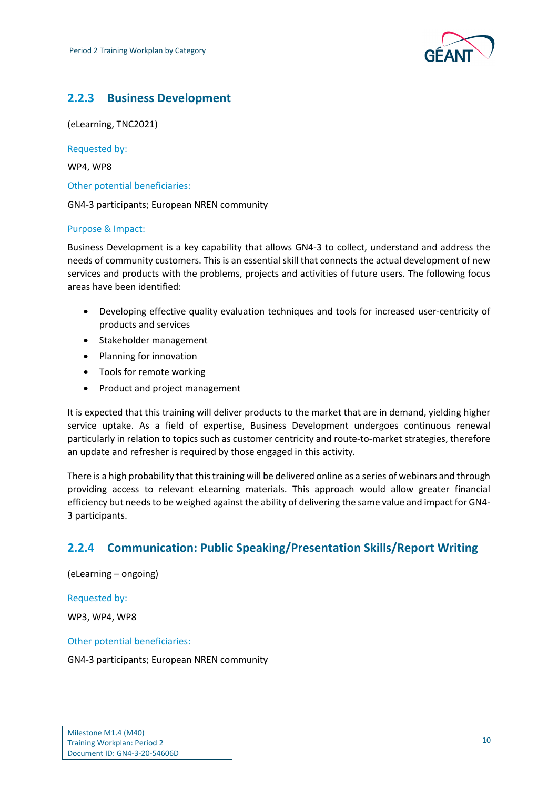

## <span id="page-10-0"></span>**2.2.3 Business Development**

(eLearning, TNC2021)

Requested by:

WP4, WP8

Other potential beneficiaries:

GN4-3 participants; European NREN community

#### Purpose & Impact:

Business Development is a key capability that allows GN4-3 to collect, understand and address the needs of community customers. This is an essential skill that connects the actual development of new services and products with the problems, projects and activities of future users. The following focus areas have been identified:

- Developing effective quality evaluation techniques and tools for increased user-centricity of products and services
- Stakeholder management
- Planning for innovation
- Tools for remote working
- Product and project management

It is expected that this training will deliver products to the market that are in demand, yielding higher service uptake. As a field of expertise, Business Development undergoes continuous renewal particularly in relation to topics such as customer centricity and route-to-market strategies, therefore an update and refresher is required by those engaged in this activity.

There is a high probability that this training will be delivered online as a series of webinars and through providing access to relevant eLearning materials. This approach would allow greater financial efficiency but needs to be weighed against the ability of delivering the same value and impact for GN4- 3 participants.

## <span id="page-10-1"></span>**2.2.4 Communication: Public Speaking/Presentation Skills/Report Writing**

(eLearning – ongoing)

Requested by:

WP3, WP4, WP8

Other potential beneficiaries:

GN4-3 participants; European NREN community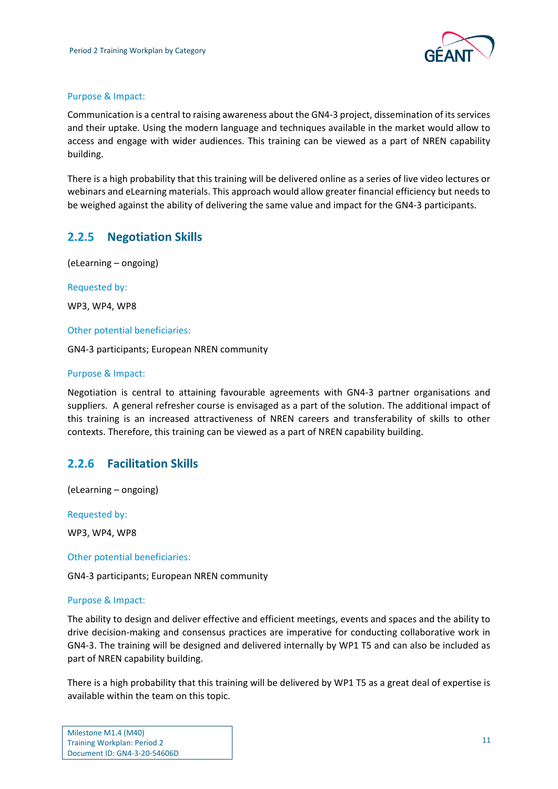

#### Purpose & Impact:

Communication is a central to raising awareness about the GN4-3 project, dissemination of its services and their uptake. Using the modern language and techniques available in the market would allow to access and engage with wider audiences. This training can be viewed as a part of NREN capability building.

There is a high probability that this training will be delivered online as a series of live video lectures or webinars and eLearning materials. This approach would allow greater financial efficiency but needs to be weighed against the ability of delivering the same value and impact for the GN4-3 participants.

## <span id="page-11-0"></span>**2.2.5 Negotiation Skills**

(eLearning – ongoing)

Requested by:

WP3, WP4, WP8

Other potential beneficiaries:

GN4-3 participants; European NREN community

#### Purpose & Impact:

Negotiation is central to attaining favourable agreements with GN4-3 partner organisations and suppliers. A general refresher course is envisaged as a part of the solution. The additional impact of this training is an increased attractiveness of NREN careers and transferability of skills to other contexts. Therefore, this training can be viewed as a part of NREN capability building.

### <span id="page-11-1"></span>**2.2.6 Facilitation Skills**

(eLearning – ongoing)

Requested by:

WP3, WP4, WP8

#### Other potential beneficiaries:

GN4-3 participants; European NREN community

#### Purpose & Impact:

The ability to design and deliver effective and efficient meetings, events and spaces and the ability to drive decision-making and consensus practices are imperative for conducting collaborative work in GN4-3. The training will be designed and delivered internally by WP1 T5 and can also be included as part of NREN capability building.

There is a high probability that this training will be delivered by WP1 T5 as a great deal of expertise is available within the team on this topic.